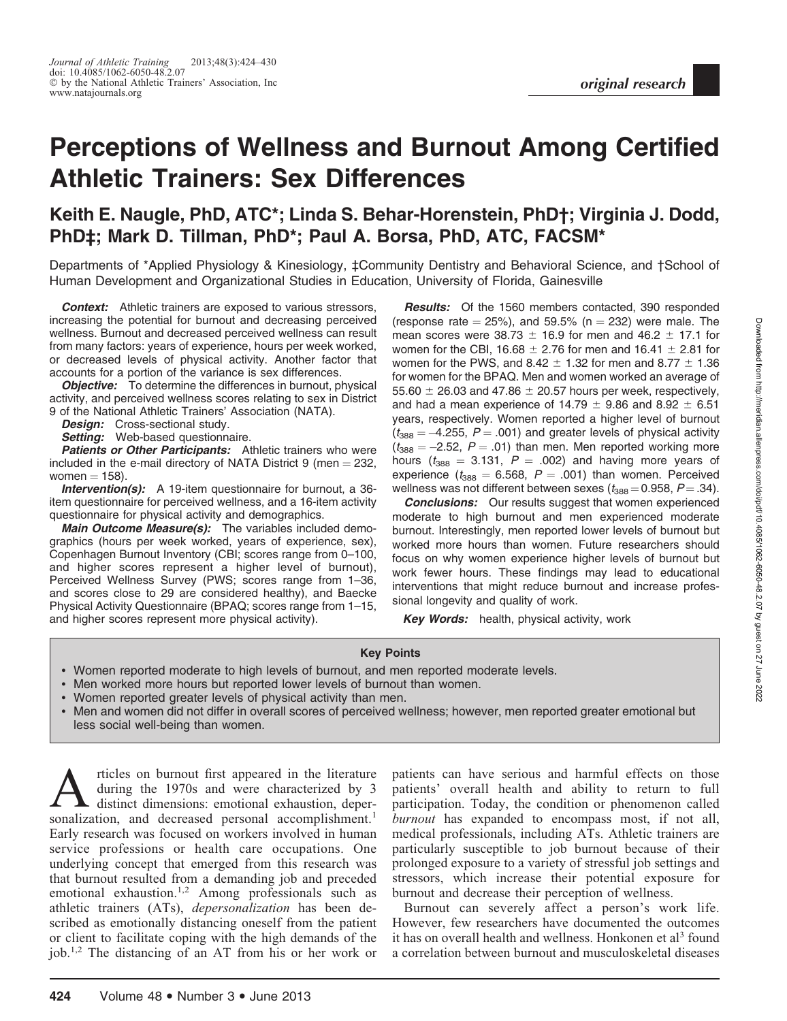# Perceptions of Wellness and Burnout Among Certified Athletic Trainers: Sex Differences

## Keith E. Naugle, PhD, ATC\*; Linda S. Behar-Horenstein, PhD†; Virginia J. Dodd, PhD‡; Mark D. Tillman, PhD\*; Paul A. Borsa, PhD, ATC, FACSM\*

Departments of \*Applied Physiology & Kinesiology, ‡Community Dentistry and Behavioral Science, and †School of Human Development and Organizational Studies in Education, University of Florida, Gainesville

**Context:** Athletic trainers are exposed to various stressors, increasing the potential for burnout and decreasing perceived wellness. Burnout and decreased perceived wellness can result from many factors: years of experience, hours per week worked, or decreased levels of physical activity. Another factor that accounts for a portion of the variance is sex differences.

**Objective:** To determine the differences in burnout, physical activity, and perceived wellness scores relating to sex in District 9 of the National Athletic Trainers' Association (NATA).

Design: Cross-sectional study.

Setting: Web-based questionnaire.

Patients or Other Participants: Athletic trainers who were included in the e-mail directory of NATA District 9 (men  $=$  232, women  $= 158$ ).

**Intervention(s):** A 19-item questionnaire for burnout, a 36item questionnaire for perceived wellness, and a 16-item activity questionnaire for physical activity and demographics.

Main Outcome Measure(s): The variables included demographics (hours per week worked, years of experience, sex), Copenhagen Burnout Inventory (CBI; scores range from 0–100, and higher scores represent a higher level of burnout), Perceived Wellness Survey (PWS; scores range from 1–36, and scores close to 29 are considered healthy), and Baecke Physical Activity Questionnaire (BPAQ; scores range from 1–15, and higher scores represent more physical activity).

**Results:** Of the 1560 members contacted, 390 responded (response rate  $= 25\%$ ), and 59.5% (n  $= 232$ ) were male. The mean scores were 38.73  $\pm$  16.9 for men and 46.2  $\pm$  17.1 for women for the CBI, 16.68  $\pm$  2.76 for men and 16.41  $\pm$  2.81 for women for the PWS, and  $8.42 \pm 1.32$  for men and  $8.77 \pm 1.36$ for women for the BPAQ. Men and women worked an average of 55.60  $\pm$  26.03 and 47.86  $\pm$  20.57 hours per week, respectively, and had a mean experience of  $14.79 \pm 9.86$  and  $8.92 \pm 6.51$ years, respectively. Women reported a higher level of burnout ( $t_{\rm 388}$  = –4.255,  $P$  = .001) and greater levels of physical activity  $(t_{388} = -2.52, P = .01)$  than men. Men reported working more hours ( $t_{388}$  = 3.131, P = .002) and having more years of experience ( $t_{388} = 6.568$ ,  $P = .001$ ) than women. Perceived wellness was not different between sexes ( $t_{388}$  = 0.958, P = .34).

**Conclusions:** Our results suggest that women experienced moderate to high burnout and men experienced moderate burnout. Interestingly, men reported lower levels of burnout but worked more hours than women. Future researchers should focus on why women experience higher levels of burnout but work fewer hours. These findings may lead to educational interventions that might reduce burnout and increase professional longevity and quality of work.

**Key Words:** health, physical activity, work

#### Key Points

- Women reported moderate to high levels of burnout, and men reported moderate levels.
- Men worked more hours but reported lower levels of burnout than women.
- Women reported greater levels of physical activity than men.
- Men and women did not differ in overall scores of perceived wellness; however, men reported greater emotional but less social well-being than women.

Articles on burnout first appeared in the literature<br>during the 1970s and were characterized by 3<br>distinct dimensions: emotional exhaustion, deper-<br>sonalization, and decreased personal accomplishment <sup>1</sup> during the 1970s and were characterized by 3 sonalization, and decreased personal accomplishment.<sup>1</sup> Early research was focused on workers involved in human service professions or health care occupations. One underlying concept that emerged from this research was that burnout resulted from a demanding job and preceded emotional exhaustion.<sup>1,2</sup> Among professionals such as athletic trainers (ATs), *depersonalization* has been described as emotionally distancing oneself from the patient or client to facilitate coping with the high demands of the job.1,2 The distancing of an AT from his or her work or

patients can have serious and harmful effects on those patients' overall health and ability to return to full participation. Today, the condition or phenomenon called burnout has expanded to encompass most, if not all, medical professionals, including ATs. Athletic trainers are particularly susceptible to job burnout because of their prolonged exposure to a variety of stressful job settings and stressors, which increase their potential exposure for burnout and decrease their perception of wellness.

Burnout can severely affect a person's work life. However, few researchers have documented the outcomes it has on overall health and wellness. Honkonen et  $a^{3}$  found a correlation between burnout and musculoskeletal diseases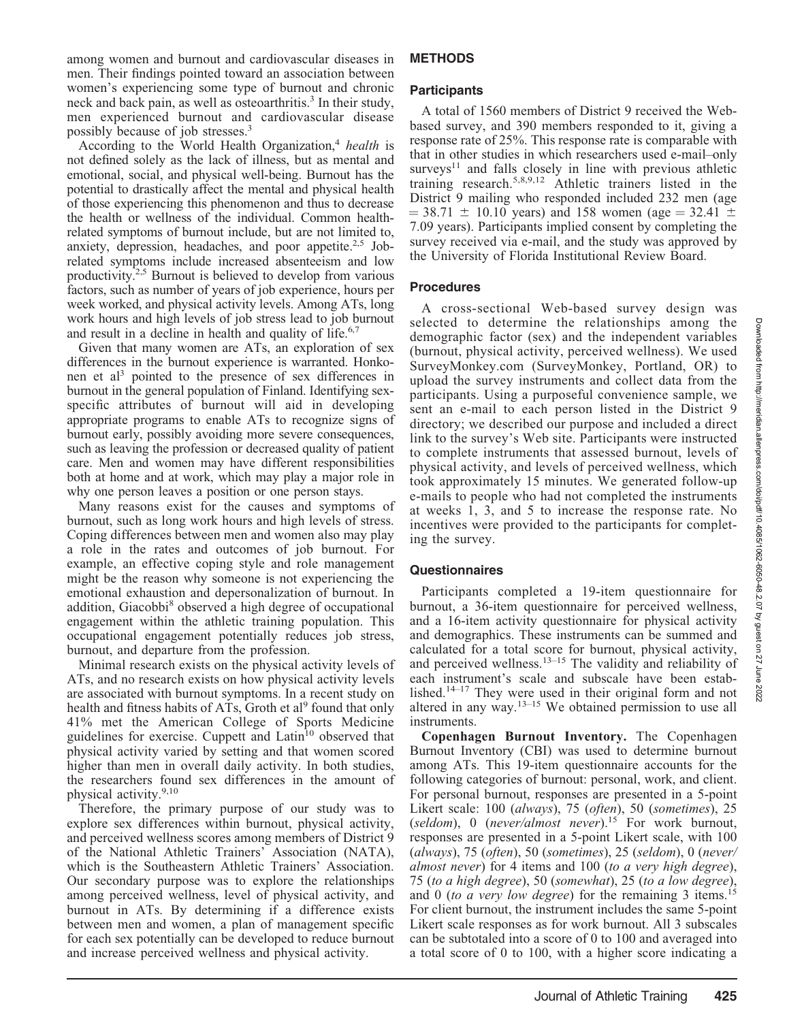among women and burnout and cardiovascular diseases in men. Their findings pointed toward an association between women's experiencing some type of burnout and chronic neck and back pain, as well as osteoarthritis.<sup>3</sup> In their study, men experienced burnout and cardiovascular disease possibly because of job stresses.3

According to the World Health Organization,<sup>4</sup> health is not defined solely as the lack of illness, but as mental and emotional, social, and physical well-being. Burnout has the potential to drastically affect the mental and physical health of those experiencing this phenomenon and thus to decrease the health or wellness of the individual. Common healthrelated symptoms of burnout include, but are not limited to, anxiety, depression, headaches, and poor appetite. $2.5$  Jobrelated symptoms include increased absenteeism and low productivity.2,5 Burnout is believed to develop from various factors, such as number of years of job experience, hours per week worked, and physical activity levels. Among ATs, long work hours and high levels of job stress lead to job burnout and result in a decline in health and quality of life.<sup>6,7</sup>

Given that many women are ATs, an exploration of sex differences in the burnout experience is warranted. Honkonen et al<sup>3</sup> pointed to the presence of sex differences in burnout in the general population of Finland. Identifying sexspecific attributes of burnout will aid in developing appropriate programs to enable ATs to recognize signs of burnout early, possibly avoiding more severe consequences, such as leaving the profession or decreased quality of patient care. Men and women may have different responsibilities both at home and at work, which may play a major role in why one person leaves a position or one person stays.

Many reasons exist for the causes and symptoms of burnout, such as long work hours and high levels of stress. Coping differences between men and women also may play a role in the rates and outcomes of job burnout. For example, an effective coping style and role management might be the reason why someone is not experiencing the emotional exhaustion and depersonalization of burnout. In addition, Giacobbi<sup>8</sup> observed a high degree of occupational engagement within the athletic training population. This occupational engagement potentially reduces job stress, burnout, and departure from the profession.

Minimal research exists on the physical activity levels of ATs, and no research exists on how physical activity levels are associated with burnout symptoms. In a recent study on health and fitness habits of ATs, Groth et al<sup>9</sup> found that only 41% met the American College of Sports Medicine guidelines for exercise. Cuppett and Latin<sup>10</sup> observed that physical activity varied by setting and that women scored higher than men in overall daily activity. In both studies, the researchers found sex differences in the amount of physical activity.<sup>9,10</sup>

Therefore, the primary purpose of our study was to explore sex differences within burnout, physical activity, and perceived wellness scores among members of District 9 of the National Athletic Trainers' Association (NATA), which is the Southeastern Athletic Trainers' Association. Our secondary purpose was to explore the relationships among perceived wellness, level of physical activity, and burnout in ATs. By determining if a difference exists between men and women, a plan of management specific for each sex potentially can be developed to reduce burnout and increase perceived wellness and physical activity.

## METHODS

## **Participants**

A total of 1560 members of District 9 received the Webbased survey, and 390 members responded to it, giving a response rate of 25%. This response rate is comparable with that in other studies in which researchers used e-mail–only  $surveys<sup>11</sup>$  and falls closely in line with previous athletic training research.5,8,9,12 Athletic trainers listed in the District 9 mailing who responded included 232 men (age  $=$  38.71  $\pm$  10.10 years) and 158 women (age  $=$  32.41  $\pm$ 7.09 years). Participants implied consent by completing the survey received via e-mail, and the study was approved by the University of Florida Institutional Review Board.

## Procedures

A cross-sectional Web-based survey design was selected to determine the relationships among the demographic factor (sex) and the independent variables (burnout, physical activity, perceived wellness). We used SurveyMonkey.com (SurveyMonkey, Portland, OR) to upload the survey instruments and collect data from the participants. Using a purposeful convenience sample, we sent an e-mail to each person listed in the District 9 directory; we described our purpose and included a direct link to the survey's Web site. Participants were instructed to complete instruments that assessed burnout, levels of physical activity, and levels of perceived wellness, which took approximately 15 minutes. We generated follow-up e-mails to people who had not completed the instruments at weeks 1, 3, and 5 to increase the response rate. No incentives were provided to the participants for completing the survey.

## **Questionnaires**

Participants completed a 19-item questionnaire for burnout, a 36-item questionnaire for perceived wellness, and a 16-item activity questionnaire for physical activity and demographics. These instruments can be summed and calculated for a total score for burnout, physical activity, and perceived wellness.<sup>13–15</sup> The validity and reliability of each instrument's scale and subscale have been established.14–17 They were used in their original form and not altered in any way.13–15 We obtained permission to use all instruments.

Copenhagen Burnout Inventory. The Copenhagen Burnout Inventory (CBI) was used to determine burnout among ATs. This 19-item questionnaire accounts for the following categories of burnout: personal, work, and client. For personal burnout, responses are presented in a 5-point Likert scale: 100 (always), 75 (often), 50 (sometimes), 25 (seldom), 0 (never/almost never).<sup>15</sup> For work burnout, responses are presented in a 5-point Likert scale, with 100 (always), 75 (often), 50 (sometimes), 25 (seldom), 0 (never/ almost never) for 4 items and 100 (to a very high degree), 75 (to a high degree), 50 (somewhat), 25 (to a low degree), and 0 (to a very low degree) for the remaining 3 items.<sup>15</sup> For client burnout, the instrument includes the same 5-point Likert scale responses as for work burnout. All 3 subscales can be subtotaled into a score of 0 to 100 and averaged into a total score of 0 to 100, with a higher score indicating a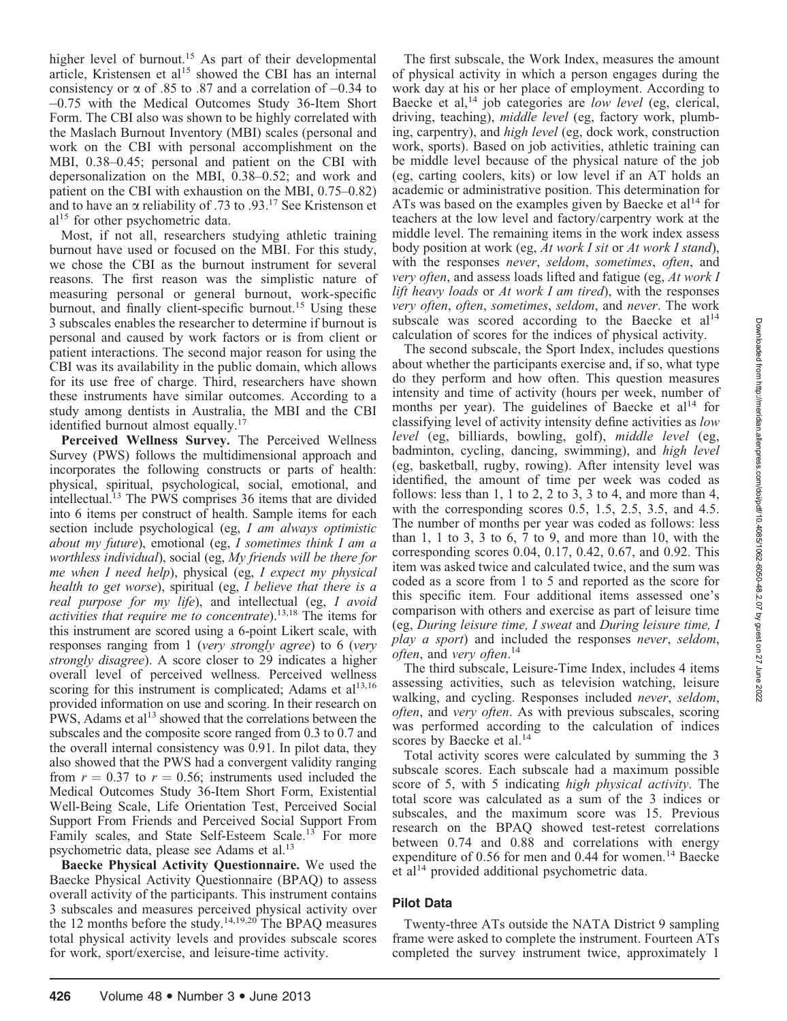higher level of burnout.<sup>15</sup> As part of their developmental article, Kristensen et al<sup>15</sup> showed the CBI has an internal consistency or  $\alpha$  of .85 to .87 and a correlation of  $-0.34$  to -0.75 with the Medical Outcomes Study 36-Item Short Form. The CBI also was shown to be highly correlated with the Maslach Burnout Inventory (MBI) scales (personal and work on the CBI with personal accomplishment on the MBI, 0.38–0.45; personal and patient on the CBI with depersonalization on the MBI, 0.38–0.52; and work and patient on the CBI with exhaustion on the MBI, 0.75–0.82) and to have an  $\alpha$  reliability of .73 to .93.<sup>17</sup> See Kristenson et  $al<sup>15</sup>$  for other psychometric data.

Most, if not all, researchers studying athletic training burnout have used or focused on the MBI. For this study, we chose the CBI as the burnout instrument for several reasons. The first reason was the simplistic nature of measuring personal or general burnout, work-specific burnout, and finally client-specific burnout.<sup>15</sup> Using these 3 subscales enables the researcher to determine if burnout is personal and caused by work factors or is from client or patient interactions. The second major reason for using the CBI was its availability in the public domain, which allows for its use free of charge. Third, researchers have shown these instruments have similar outcomes. According to a study among dentists in Australia, the MBI and the CBI identified burnout almost equally.<sup>17</sup>

Perceived Wellness Survey. The Perceived Wellness Survey (PWS) follows the multidimensional approach and incorporates the following constructs or parts of health: physical, spiritual, psychological, social, emotional, and intellectual.13 The PWS comprises 36 items that are divided into 6 items per construct of health. Sample items for each section include psychological (eg, I am always optimistic about my future), emotional (eg,  $I$  sometimes think  $I$  am  $a$ worthless individual), social (eg, My friends will be there for me when I need help), physical (eg, I expect my physical health to get worse), spiritual (eg, I believe that there is a real purpose for my life), and intellectual (eg, I avoid activities that require me to concentrate).13,18 The items for this instrument are scored using a 6-point Likert scale, with responses ranging from 1 (very strongly agree) to 6 (very strongly disagree). A score closer to 29 indicates a higher overall level of perceived wellness. Perceived wellness scoring for this instrument is complicated; Adams et  $al<sup>13,16</sup>$ provided information on use and scoring. In their research on PWS, Adams et al<sup>13</sup> showed that the correlations between the subscales and the composite score ranged from 0.3 to 0.7 and the overall internal consistency was 0.91. In pilot data, they also showed that the PWS had a convergent validity ranging from  $r = 0.37$  to  $r = 0.56$ ; instruments used included the Medical Outcomes Study 36-Item Short Form, Existential Well-Being Scale, Life Orientation Test, Perceived Social Support From Friends and Perceived Social Support From Family scales, and State Self-Esteem Scale.<sup>13</sup> For more psychometric data, please see Adams et al.<sup>13</sup>

Baecke Physical Activity Questionnaire. We used the Baecke Physical Activity Questionnaire (BPAQ) to assess overall activity of the participants. This instrument contains 3 subscales and measures perceived physical activity over the 12 months before the study.<sup>14,19,20</sup> The BPAQ measures total physical activity levels and provides subscale scores for work, sport/exercise, and leisure-time activity.

The first subscale, the Work Index, measures the amount of physical activity in which a person engages during the work day at his or her place of employment. According to Baecke et al, $^{14}$  job categories are *low level* (eg, clerical, driving, teaching), *middle level* (eg, factory work, plumbing, carpentry), and high level (eg, dock work, construction work, sports). Based on job activities, athletic training can be middle level because of the physical nature of the job (eg, carting coolers, kits) or low level if an AT holds an academic or administrative position. This determination for ATs was based on the examples given by Baecke et al<sup>14</sup> for teachers at the low level and factory/carpentry work at the middle level. The remaining items in the work index assess body position at work (eg, At work I sit or At work I stand), with the responses *never*, seldom, sometimes, often, and very often, and assess loads lifted and fatigue (eg, At work I lift heavy loads or  $At$  work I am tired), with the responses very often, often, sometimes, seldom, and never. The work subscale was scored according to the Baecke et  $al<sup>14</sup>$ calculation of scores for the indices of physical activity.

The second subscale, the Sport Index, includes questions about whether the participants exercise and, if so, what type do they perform and how often. This question measures intensity and time of activity (hours per week, number of months per year). The guidelines of Baecke et  $al<sup>14</sup>$  for classifying level of activity intensity define activities as low level (eg, billiards, bowling, golf), middle level (eg, badminton, cycling, dancing, swimming), and high level (eg, basketball, rugby, rowing). After intensity level was identified, the amount of time per week was coded as follows: less than  $1$ ,  $1$  to  $2$ ,  $2$  to  $3$ ,  $3$  to  $4$ , and more than  $4$ , with the corresponding scores 0.5, 1.5, 2.5, 3.5, and 4.5. The number of months per year was coded as follows: less than  $1, 1$  to  $3, 3$  to  $6, 7$  to  $9$ , and more than  $10$ , with the corresponding scores 0.04, 0.17, 0.42, 0.67, and 0.92. This item was asked twice and calculated twice, and the sum was coded as a score from 1 to 5 and reported as the score for this specific item. Four additional items assessed one's comparison with others and exercise as part of leisure time (eg, During leisure time, I sweat and During leisure time, I play a sport) and included the responses never, seldom, often, and very often.<sup>14</sup>

The third subscale, Leisure-Time Index, includes 4 items assessing activities, such as television watching, leisure walking, and cycling. Responses included never, seldom, often, and very often. As with previous subscales, scoring was performed according to the calculation of indices scores by Baecke et al.<sup>14</sup>

Total activity scores were calculated by summing the 3 subscale scores. Each subscale had a maximum possible score of 5, with 5 indicating high physical activity. The total score was calculated as a sum of the 3 indices or subscales, and the maximum score was 15. Previous research on the BPAQ showed test-retest correlations between 0.74 and 0.88 and correlations with energy expenditure of  $0.56$  for men and  $0.44$  for women.<sup>14</sup> Baecke et al<sup>14</sup> provided additional psychometric data.

## Pilot Data

Twenty-three ATs outside the NATA District 9 sampling frame were asked to complete the instrument. Fourteen ATs completed the survey instrument twice, approximately 1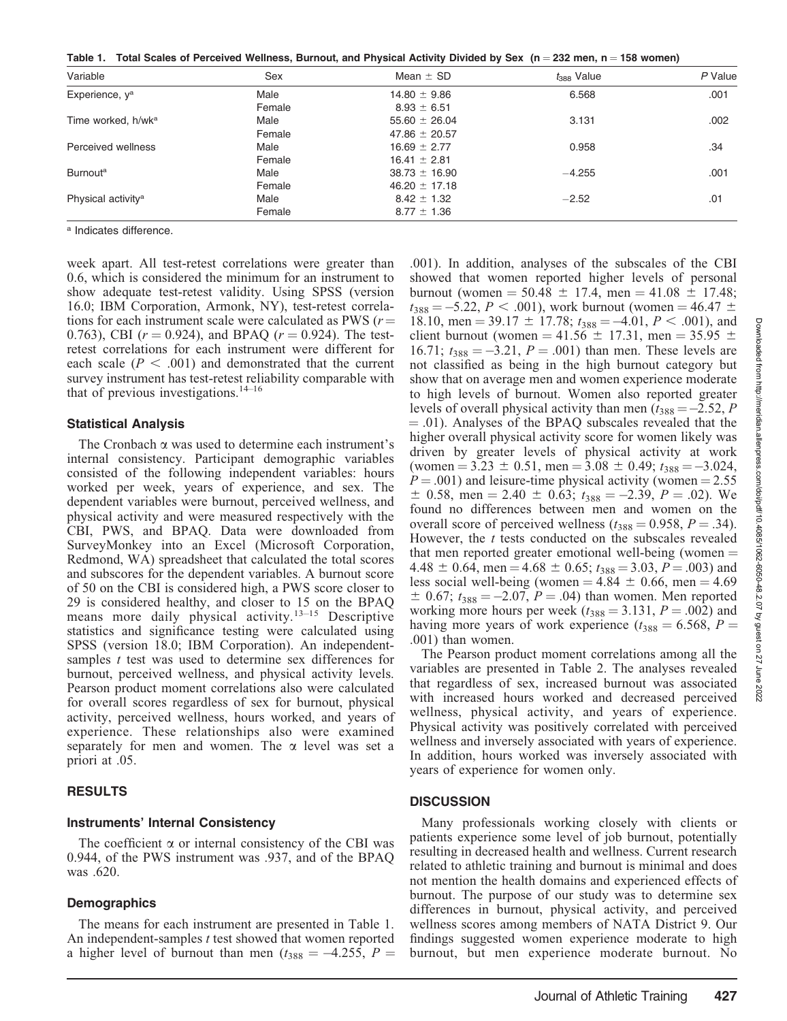Table 1. Total Scales of Perceived Wellness, Burnout, and Physical Activity Divided by Sex (n = 232 men, n = 158 women)

| Variable                       | Sex    | Mean $\pm$ SD     | $t388$ Value | $P$ Value |
|--------------------------------|--------|-------------------|--------------|-----------|
| Experience, y <sup>a</sup>     | Male   | $14.80 \pm 9.86$  | 6.568        | .001      |
|                                | Female | $8.93 \pm 6.51$   |              |           |
| Time worked, h/wk <sup>a</sup> | Male   | $55.60 \pm 26.04$ | 3.131        | .002      |
|                                | Female | 47.86 $\pm$ 20.57 |              |           |
| Perceived wellness             | Male   | $16.69 \pm 2.77$  | 0.958        | .34       |
|                                | Female | $16.41 \pm 2.81$  |              |           |
| <b>Burnout</b> <sup>a</sup>    | Male   | $38.73 \pm 16.90$ | $-4.255$     | .001      |
|                                | Female | $46.20 \pm 17.18$ |              |           |
| Physical activity <sup>a</sup> | Male   | $8.42 \pm 1.32$   | $-2.52$      | .01       |
|                                | Female | $8.77 \pm 1.36$   |              |           |

<sup>a</sup> Indicates difference.

week apart. All test-retest correlations were greater than 0.6, which is considered the minimum for an instrument to show adequate test-retest validity. Using SPSS (version 16.0; IBM Corporation, Armonk, NY), test-retest correlations for each instrument scale were calculated as PWS ( $r=$ 0.763), CBI ( $r = 0.924$ ), and BPAQ ( $r = 0.924$ ). The testretest correlations for each instrument were different for each scale ( $P < .001$ ) and demonstrated that the current survey instrument has test-retest reliability comparable with that of previous investigations. $14-16$ 

#### Statistical Analysis

The Cronbach  $\alpha$  was used to determine each instrument's internal consistency. Participant demographic variables consisted of the following independent variables: hours worked per week, years of experience, and sex. The dependent variables were burnout, perceived wellness, and physical activity and were measured respectively with the CBI, PWS, and BPAQ. Data were downloaded from SurveyMonkey into an Excel (Microsoft Corporation, Redmond, WA) spreadsheet that calculated the total scores and subscores for the dependent variables. A burnout score of 50 on the CBI is considered high, a PWS score closer to 29 is considered healthy, and closer to 15 on the BPAQ means more daily physical activity.<sup>13-15</sup> Descriptive statistics and significance testing were calculated using SPSS (version 18.0; IBM Corporation). An independentsamples t test was used to determine sex differences for burnout, perceived wellness, and physical activity levels. Pearson product moment correlations also were calculated for overall scores regardless of sex for burnout, physical activity, perceived wellness, hours worked, and years of experience. These relationships also were examined separately for men and women. The  $\alpha$  level was set a priori at .05.

#### RESULTS

#### Instruments' Internal Consistency

The coefficient  $\alpha$  or internal consistency of the CBI was 0.944, of the PWS instrument was .937, and of the BPAQ was .620.

#### **Demographics**

The means for each instrument are presented in Table 1. An independent-samples t test showed that women reported a higher level of burnout than men ( $t_{388} = -4.255$ ,  $P =$ 

.001). In addition, analyses of the subscales of the CBI showed that women reported higher levels of personal burnout (women  $= 50.48 \pm 17.4$ , men  $= 41.08 \pm 17.48$ ;  $t_{388} = -5.22, P < .001$ ), work burnout (women = 46.47  $\pm$ 18.10, men = 39.17  $\pm$  17.78;  $t_{388} = -4.01, P < .001$ ), and client burnout (women = 41.56  $\pm$  17.31, men = 35.95  $\pm$ 16.71;  $t_{388} = -3.21$ ,  $P = .001$ ) than men. These levels are not classified as being in the high burnout category but show that on average men and women experience moderate to high levels of burnout. Women also reported greater levels of overall physical activity than men ( $t_{388} = -2.52$ , P  $= .01$ ). Analyses of the BPAQ subscales revealed that the higher overall physical activity score for women likely was driven by greater levels of physical activity at work (women = 3.23  $\pm$  0.51, men = 3.08  $\pm$  0.49;  $t_{388} = -3.024$ ,  $P = .001$ ) and leisure-time physical activity (women = 2.55  $\pm$  0.58, men = 2.40  $\pm$  0.63;  $t_{388} = -2.39$ ,  $P = .02$ ). We found no differences between men and women on the overall score of perceived wellness  $(t_{388} = 0.958, P = .34)$ . However, the  $t$  tests conducted on the subscales revealed that men reported greater emotional well-being (women  $=$ 4.48  $\pm$  0.64, men = 4.68  $\pm$  0.65;  $t_{388}$  = 3.03, P = .003) and less social well-being (women =  $4.84 \pm 0.66$ , men =  $4.69$  $\pm$  0.67;  $t_{388} = -2.07$ ,  $P = .04$ ) than women. Men reported working more hours per week ( $t_{388} = 3.131$ ,  $P = .002$ ) and having more years of work experience ( $t_{388} = 6.568$ ,  $P =$ .001) than women.

The Pearson product moment correlations among all the variables are presented in Table 2. The analyses revealed that regardless of sex, increased burnout was associated with increased hours worked and decreased perceived wellness, physical activity, and years of experience. Physical activity was positively correlated with perceived wellness and inversely associated with years of experience. In addition, hours worked was inversely associated with years of experience for women only.

#### **DISCUSSION**

Many professionals working closely with clients or patients experience some level of job burnout, potentially resulting in decreased health and wellness. Current research related to athletic training and burnout is minimal and does not mention the health domains and experienced effects of burnout. The purpose of our study was to determine sex differences in burnout, physical activity, and perceived wellness scores among members of NATA District 9. Our findings suggested women experience moderate to high burnout, but men experience moderate burnout. No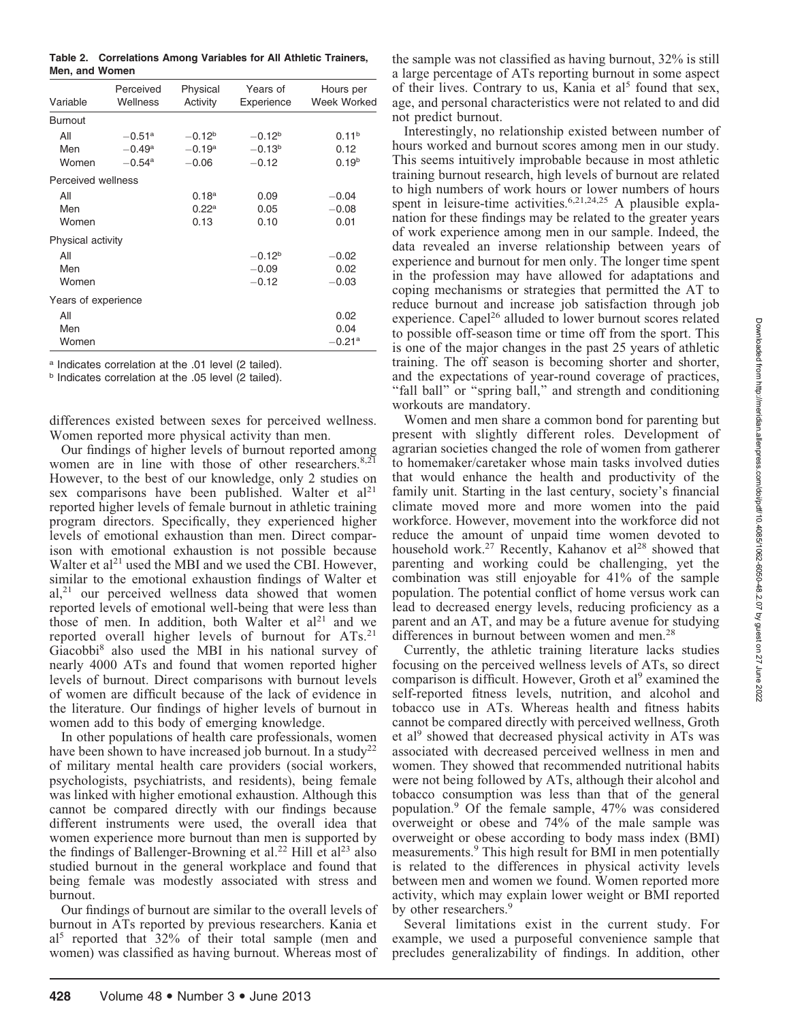Table 2. Correlations Among Variables for All Athletic Trainers, Men, and Women

| Variable            | Perceived<br>Wellness | Physical<br>Activity | Years of<br>Experience | Hours per<br><b>Week Worked</b> |
|---------------------|-----------------------|----------------------|------------------------|---------------------------------|
| <b>Burnout</b>      |                       |                      |                        |                                 |
| All                 | $-0.51$ <sup>a</sup>  | $-0.12b$             | $-0.12b$               | 0.11 <sup>b</sup>               |
| Men                 | $-0.49^{\rm a}$       | $-0.19^{\rm a}$      | $-0.13b$               | 0.12                            |
| Women               | $-0.54$ <sup>a</sup>  | $-0.06$              | $-0.12$                | 0.19 <sup>b</sup>               |
| Perceived wellness  |                       |                      |                        |                                 |
| All                 |                       | 0.18 <sup>a</sup>    | 0.09                   | $-0.04$                         |
| Men                 |                       | $0.22^{\rm a}$       | 0.05                   | $-0.08$                         |
| Women               |                       | 0.13                 | 0.10                   | 0.01                            |
| Physical activity   |                       |                      |                        |                                 |
| All                 |                       |                      | $-0.12b$               | $-0.02$                         |
| Men                 |                       |                      | $-0.09$                | 0.02                            |
| Women               |                       |                      | $-0.12$                | $-0.03$                         |
| Years of experience |                       |                      |                        |                                 |
| All                 |                       |                      |                        | 0.02                            |
| Men                 |                       |                      |                        | 0.04                            |
| Women               |                       |                      |                        | $-0.21a$                        |

<sup>a</sup> Indicates correlation at the .01 level (2 tailed).

b Indicates correlation at the .05 level (2 tailed).

differences existed between sexes for perceived wellness. Women reported more physical activity than men.

Our findings of higher levels of burnout reported among women are in line with those of other researchers. $8,21$ However, to the best of our knowledge, only 2 studies on sex comparisons have been published. Walter et  $al<sup>21</sup>$ reported higher levels of female burnout in athletic training program directors. Specifically, they experienced higher levels of emotional exhaustion than men. Direct comparison with emotional exhaustion is not possible because Walter et al<sup>21</sup> used the MBI and we used the CBI. However, similar to the emotional exhaustion findings of Walter et  $aI<sub>z</sub><sup>21</sup>$  our perceived wellness data showed that women reported levels of emotional well-being that were less than those of men. In addition, both Walter et  $al<sup>21</sup>$  and we reported overall higher levels of burnout for ATs.<sup>21</sup> Giacobbi8 also used the MBI in his national survey of nearly 4000 ATs and found that women reported higher levels of burnout. Direct comparisons with burnout levels of women are difficult because of the lack of evidence in the literature. Our findings of higher levels of burnout in women add to this body of emerging knowledge.

In other populations of health care professionals, women have been shown to have increased job burnout. In a study<sup>22</sup> of military mental health care providers (social workers, psychologists, psychiatrists, and residents), being female was linked with higher emotional exhaustion. Although this cannot be compared directly with our findings because different instruments were used, the overall idea that women experience more burnout than men is supported by the findings of Ballenger-Browning et al.<sup>22</sup> Hill et al<sup>23</sup> also studied burnout in the general workplace and found that being female was modestly associated with stress and burnout.

Our findings of burnout are similar to the overall levels of burnout in ATs reported by previous researchers. Kania et al5 reported that 32% of their total sample (men and women) was classified as having burnout. Whereas most of the sample was not classified as having burnout, 32% is still a large percentage of ATs reporting burnout in some aspect of their lives. Contrary to us, Kania et  $a^{15}$  found that sex, age, and personal characteristics were not related to and did not predict burnout.

Interestingly, no relationship existed between number of hours worked and burnout scores among men in our study. This seems intuitively improbable because in most athletic training burnout research, high levels of burnout are related to high numbers of work hours or lower numbers of hours spent in leisure-time activities.<sup>6,21,24,25</sup> A plausible explanation for these findings may be related to the greater years of work experience among men in our sample. Indeed, the data revealed an inverse relationship between years of experience and burnout for men only. The longer time spent in the profession may have allowed for adaptations and coping mechanisms or strategies that permitted the AT to reduce burnout and increase job satisfaction through job experience. Capel<sup>26</sup> alluded to lower burnout scores related to possible off-season time or time off from the sport. This is one of the major changes in the past 25 years of athletic training. The off season is becoming shorter and shorter, and the expectations of year-round coverage of practices, "fall ball" or "spring ball," and strength and conditioning workouts are mandatory.

Women and men share a common bond for parenting but present with slightly different roles. Development of agrarian societies changed the role of women from gatherer to homemaker/caretaker whose main tasks involved duties that would enhance the health and productivity of the family unit. Starting in the last century, society's financial climate moved more and more women into the paid workforce. However, movement into the workforce did not reduce the amount of unpaid time women devoted to household work.<sup>27</sup> Recently, Kahanov et al<sup>28</sup> showed that parenting and working could be challenging, yet the combination was still enjoyable for 41% of the sample population. The potential conflict of home versus work can lead to decreased energy levels, reducing proficiency as a parent and an AT, and may be a future avenue for studying differences in burnout between women and men.<sup>28</sup>

Currently, the athletic training literature lacks studies focusing on the perceived wellness levels of ATs, so direct comparison is difficult. However, Groth et  $al^9$  examined the self-reported fitness levels, nutrition, and alcohol and tobacco use in ATs. Whereas health and fitness habits cannot be compared directly with perceived wellness, Groth et al<sup>9</sup> showed that decreased physical activity in ATs was associated with decreased perceived wellness in men and women. They showed that recommended nutritional habits were not being followed by ATs, although their alcohol and tobacco consumption was less than that of the general population.<sup>9</sup> Of the female sample, 47% was considered overweight or obese and 74% of the male sample was overweight or obese according to body mass index (BMI) measurements.9 This high result for BMI in men potentially is related to the differences in physical activity levels between men and women we found. Women reported more activity, which may explain lower weight or BMI reported by other researchers.<sup>9</sup>

Several limitations exist in the current study. For example, we used a purposeful convenience sample that precludes generalizability of findings. In addition, other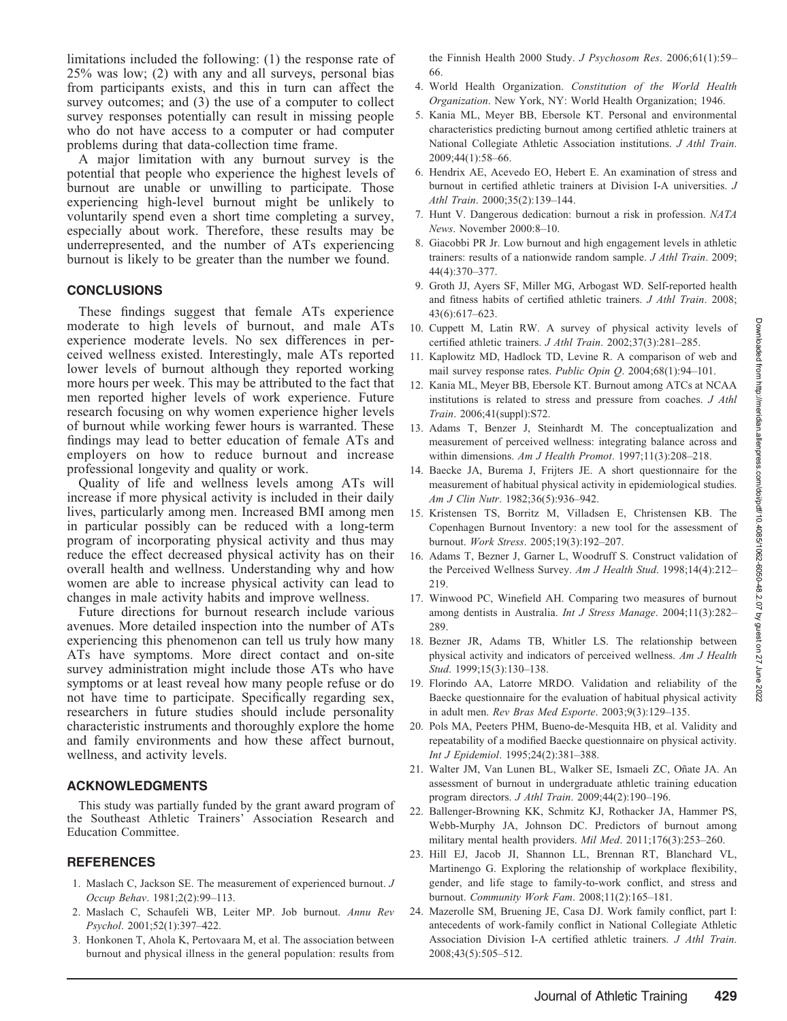limitations included the following: (1) the response rate of 25% was low; (2) with any and all surveys, personal bias from participants exists, and this in turn can affect the survey outcomes; and (3) the use of a computer to collect survey responses potentially can result in missing people who do not have access to a computer or had computer problems during that data-collection time frame.

A major limitation with any burnout survey is the potential that people who experience the highest levels of burnout are unable or unwilling to participate. Those experiencing high-level burnout might be unlikely to voluntarily spend even a short time completing a survey, especially about work. Therefore, these results may be underrepresented, and the number of ATs experiencing burnout is likely to be greater than the number we found.

#### **CONCLUSIONS**

These findings suggest that female ATs experience moderate to high levels of burnout, and male ATs experience moderate levels. No sex differences in perceived wellness existed. Interestingly, male ATs reported lower levels of burnout although they reported working more hours per week. This may be attributed to the fact that men reported higher levels of work experience. Future research focusing on why women experience higher levels of burnout while working fewer hours is warranted. These findings may lead to better education of female ATs and employers on how to reduce burnout and increase professional longevity and quality or work.

Quality of life and wellness levels among ATs will increase if more physical activity is included in their daily lives, particularly among men. Increased BMI among men in particular possibly can be reduced with a long-term program of incorporating physical activity and thus may reduce the effect decreased physical activity has on their overall health and wellness. Understanding why and how women are able to increase physical activity can lead to changes in male activity habits and improve wellness.

Future directions for burnout research include various avenues. More detailed inspection into the number of ATs experiencing this phenomenon can tell us truly how many ATs have symptoms. More direct contact and on-site survey administration might include those ATs who have symptoms or at least reveal how many people refuse or do not have time to participate. Specifically regarding sex, researchers in future studies should include personality characteristic instruments and thoroughly explore the home and family environments and how these affect burnout, wellness, and activity levels.

#### ACKNOWLEDGMENTS

This study was partially funded by the grant award program of the Southeast Athletic Trainers' Association Research and Education Committee.

#### REFERENCES

- 1. Maslach C, Jackson SE. The measurement of experienced burnout. J Occup Behav. 1981;2(2):99–113.
- 2. Maslach C, Schaufeli WB, Leiter MP. Job burnout. Annu Rev Psychol. 2001;52(1):397–422.
- 3. Honkonen T, Ahola K, Pertovaara M, et al. The association between burnout and physical illness in the general population: results from

the Finnish Health 2000 Study. *J Psychosom Res.* 2006;61(1):59– 66.

- 4. World Health Organization. Constitution of the World Health Organization. New York, NY: World Health Organization; 1946.
- 5. Kania ML, Meyer BB, Ebersole KT. Personal and environmental characteristics predicting burnout among certified athletic trainers at National Collegiate Athletic Association institutions. J Athl Train. 2009;44(1):58–66.
- 6. Hendrix AE, Acevedo EO, Hebert E. An examination of stress and burnout in certified athletic trainers at Division I-A universities. J Athl Train. 2000;35(2):139–144.
- 7. Hunt V. Dangerous dedication: burnout a risk in profession. NATA News. November 2000:8–10.
- 8. Giacobbi PR Jr. Low burnout and high engagement levels in athletic trainers: results of a nationwide random sample. J Athl Train. 2009; 44(4):370–377.
- 9. Groth JJ, Ayers SF, Miller MG, Arbogast WD. Self-reported health and fitness habits of certified athletic trainers. J Athl Train. 2008; 43(6):617–623.
- 10. Cuppett M, Latin RW. A survey of physical activity levels of certified athletic trainers. J Athl Train. 2002;37(3):281–285.
- 11. Kaplowitz MD, Hadlock TD, Levine R. A comparison of web and mail survey response rates. Public Opin Q. 2004;68(1):94–101.
- 12. Kania ML, Meyer BB, Ebersole KT. Burnout among ATCs at NCAA institutions is related to stress and pressure from coaches. J Athl Train. 2006;41(suppl):S72.
- 13. Adams T, Benzer J, Steinhardt M. The conceptualization and measurement of perceived wellness: integrating balance across and within dimensions. Am J Health Promot. 1997;11(3):208-218.
- 14. Baecke JA, Burema J, Frijters JE. A short questionnaire for the measurement of habitual physical activity in epidemiological studies. Am J Clin Nutr. 1982;36(5):936–942.
- 15. Kristensen TS, Borritz M, Villadsen E, Christensen KB. The Copenhagen Burnout Inventory: a new tool for the assessment of burnout. Work Stress. 2005;19(3):192–207.
- 16. Adams T, Bezner J, Garner L, Woodruff S. Construct validation of the Perceived Wellness Survey. Am J Health Stud. 1998;14(4):212– 219.
- 17. Winwood PC, Winefield AH. Comparing two measures of burnout among dentists in Australia. Int J Stress Manage. 2004;11(3):282– 289.
- 18. Bezner JR, Adams TB, Whitler LS. The relationship between physical activity and indicators of perceived wellness. Am J Health Stud. 1999;15(3):130–138.
- 19. Florindo AA, Latorre MRDO. Validation and reliability of the Baecke questionnaire for the evaluation of habitual physical activity in adult men. Rev Bras Med Esporte. 2003;9(3):129–135.
- 20. Pols MA, Peeters PHM, Bueno-de-Mesquita HB, et al. Validity and repeatability of a modified Baecke questionnaire on physical activity. Int J Epidemiol. 1995;24(2):381–388.
- 21. Walter JM, Van Lunen BL, Walker SE, Ismaeli ZC, Oñate JA. An assessment of burnout in undergraduate athletic training education program directors. J Athl Train. 2009;44(2):190–196.
- 22. Ballenger-Browning KK, Schmitz KJ, Rothacker JA, Hammer PS, Webb-Murphy JA, Johnson DC. Predictors of burnout among military mental health providers. Mil Med. 2011;176(3):253–260.
- 23. Hill EJ, Jacob JI, Shannon LL, Brennan RT, Blanchard VL, Martinengo G. Exploring the relationship of workplace flexibility, gender, and life stage to family-to-work conflict, and stress and burnout. Community Work Fam. 2008;11(2):165–181.
- 24. Mazerolle SM, Bruening JE, Casa DJ. Work family conflict, part I: antecedents of work-family conflict in National Collegiate Athletic Association Division I-A certified athletic trainers. J Athl Train. 2008;43(5):505–512.